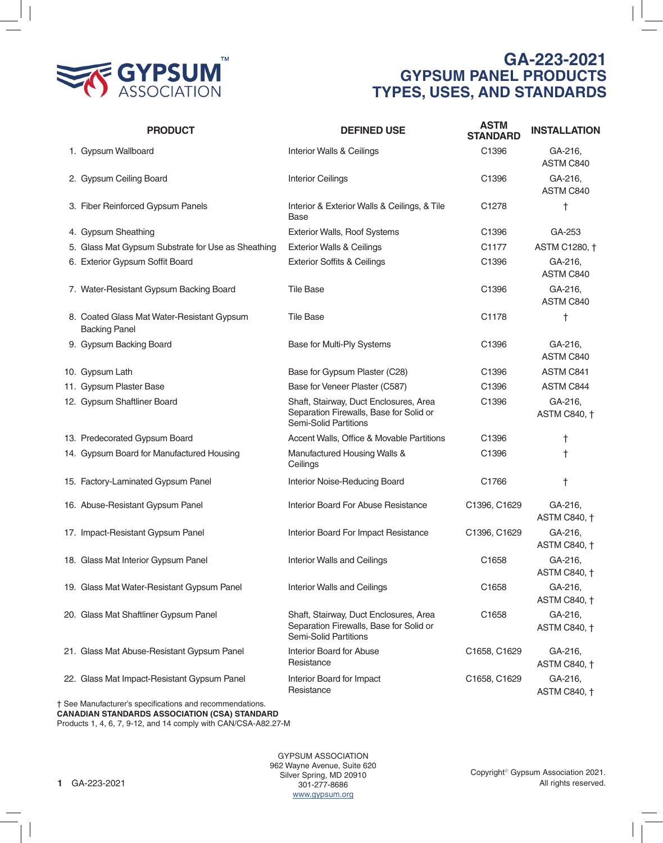

## **GA-223-2021 GYPSUM PANEL PRODUCTS TYPES, USES, AND STANDARDS**

| <b>PRODUCT</b>                                                     | <b>DEFINED USE</b>                                                                                                | <b>ASTM</b><br><b>STANDARD</b> | <b>INSTALLATION</b>            |
|--------------------------------------------------------------------|-------------------------------------------------------------------------------------------------------------------|--------------------------------|--------------------------------|
| 1. Gypsum Wallboard                                                | Interior Walls & Ceilings                                                                                         | C1396                          | GA-216,<br>ASTM C840           |
| 2. Gypsum Ceiling Board                                            | <b>Interior Ceilings</b>                                                                                          | C1396                          | GA-216,<br>ASTM C840           |
| 3. Fiber Reinforced Gypsum Panels                                  | Interior & Exterior Walls & Ceilings, & Tile<br>Base                                                              | C <sub>1278</sub>              | t                              |
| 4. Gypsum Sheathing                                                | Exterior Walls, Roof Systems                                                                                      | C1396                          | GA-253                         |
| 5. Glass Mat Gypsum Substrate for Use as Sheathing                 | <b>Exterior Walls &amp; Ceilings</b>                                                                              | C1177                          | ASTM C1280, †                  |
| 6. Exterior Gypsum Soffit Board                                    | <b>Exterior Soffits &amp; Ceilings</b>                                                                            | C1396                          | GA-216,<br>ASTM C840           |
| 7. Water-Resistant Gypsum Backing Board                            | <b>Tile Base</b>                                                                                                  | C1396                          | GA-216,<br>ASTM C840           |
| 8. Coated Glass Mat Water-Resistant Gypsum<br><b>Backing Panel</b> | <b>Tile Base</b>                                                                                                  | C1178                          | $\dagger$                      |
| 9. Gypsum Backing Board                                            | Base for Multi-Ply Systems                                                                                        | C1396                          | GA-216,<br>ASTM C840           |
| 10. Gypsum Lath                                                    | Base for Gypsum Plaster (C28)                                                                                     | C1396                          | ASTM C841                      |
| 11. Gypsum Plaster Base                                            | Base for Veneer Plaster (C587)                                                                                    | C1396                          | ASTM C844                      |
| 12. Gypsum Shaftliner Board                                        | Shaft, Stairway, Duct Enclosures, Area<br>Separation Firewalls, Base for Solid or<br>Semi-Solid Partitions        | C1396                          | GA-216,<br><b>ASTM C840, †</b> |
| 13. Predecorated Gypsum Board                                      | Accent Walls, Office & Movable Partitions                                                                         | C1396                          | t                              |
| 14. Gypsum Board for Manufactured Housing                          | Manufactured Housing Walls &<br>Ceilings                                                                          | C1396                          | $\ddagger$                     |
| 15. Factory-Laminated Gypsum Panel                                 | Interior Noise-Reducing Board                                                                                     | C1766                          | $^\dagger$                     |
| 16. Abuse-Resistant Gypsum Panel                                   | Interior Board For Abuse Resistance                                                                               | C1396, C1629                   | GA-216,<br><b>ASTM C840, †</b> |
| 17. Impact-Resistant Gypsum Panel                                  | Interior Board For Impact Resistance                                                                              | C1396, C1629                   | GA-216,<br><b>ASTM C840, †</b> |
| 18. Glass Mat Interior Gypsum Panel                                | Interior Walls and Ceilings                                                                                       | C1658                          | GA-216,<br>ASTM C840, †        |
| 19. Glass Mat Water-Resistant Gypsum Panel                         | Interior Walls and Ceilings                                                                                       | C1658                          | GA-216,<br><b>ASTM C840, †</b> |
| 20. Glass Mat Shaftliner Gypsum Panel                              | Shaft, Stairway, Duct Enclosures, Area<br>Separation Firewalls, Base for Solid or<br><b>Semi-Solid Partitions</b> | C1658                          | GA-216,<br><b>ASTM C840, †</b> |
| 21. Glass Mat Abuse-Resistant Gypsum Panel                         | <b>Interior Board for Abuse</b><br>Resistance                                                                     | C1658, C1629                   | GA-216,<br><b>ASTM C840, †</b> |
| 22. Glass Mat Impact-Resistant Gypsum Panel                        | Interior Board for Impact<br>Resistance                                                                           | C1658, C1629                   | GA-216,<br><b>ASTM C840, †</b> |
| † See Manufacturer's specifications and recommendations.           |                                                                                                                   |                                |                                |

**CANADIAN STANDARDS ASSOCIATION (CSA) STANDARD** Products 1, 4, 6, 7, 9-12, and 14 comply with CAN/CSA-A82.27-M